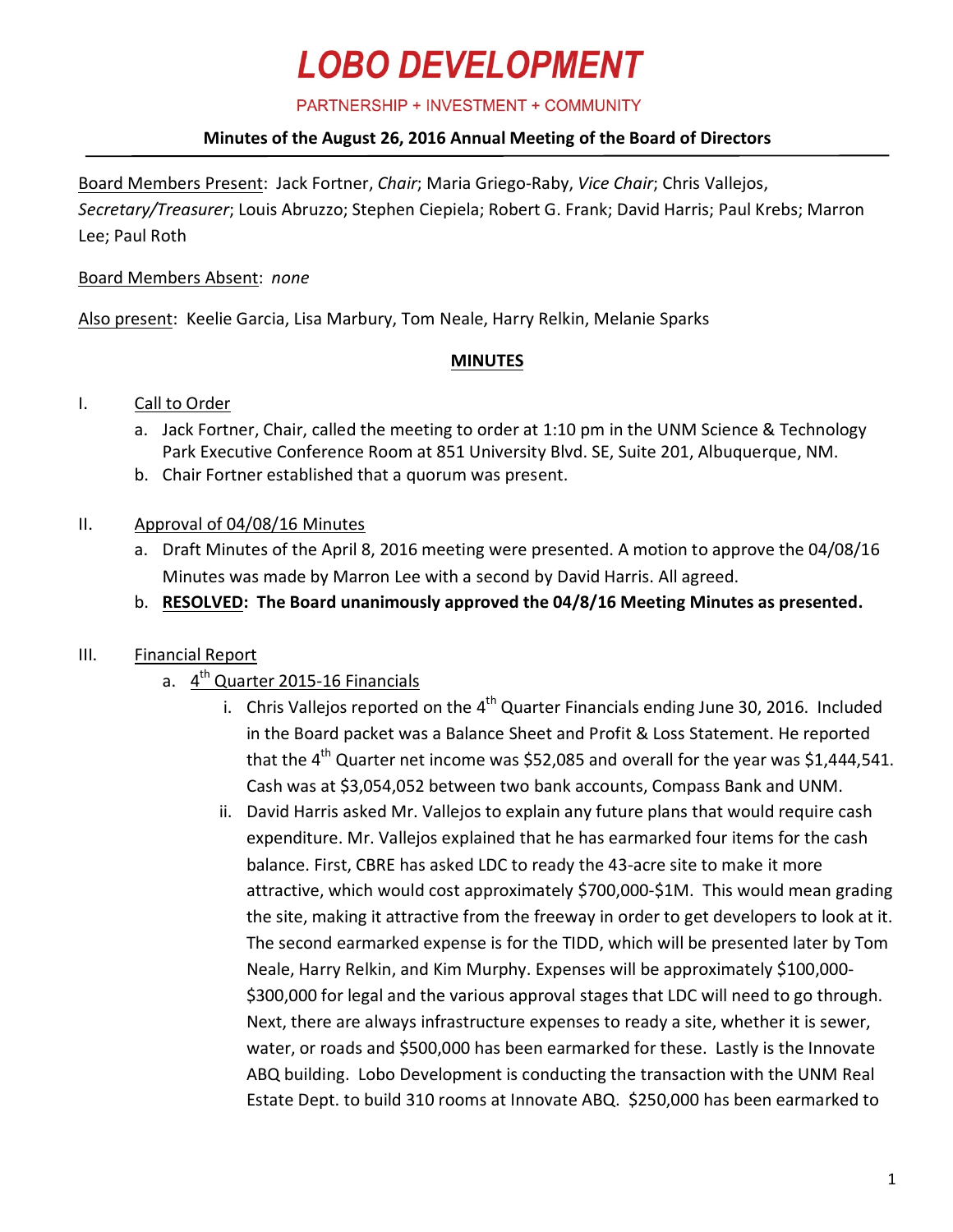PARTNERSHIP + INVESTMENT + COMMUNITY

### **Minutes of the August 26, 2016 Annual Meeting of the Board of Directors**

Board Members Present: Jack Fortner, *Chair*; Maria Griego-Raby, *Vice Chair*; Chris Vallejos, *Secretary/Treasurer*; Louis Abruzzo; Stephen Ciepiela; Robert G. Frank; David Harris; Paul Krebs; Marron Lee; Paul Roth

#### Board Members Absent: *none*

Also present: Keelie Garcia, Lisa Marbury, Tom Neale, Harry Relkin, Melanie Sparks

#### **MINUTES**

### I. Call to Order

- a. Jack Fortner, Chair, called the meeting to order at 1:10 pm in the UNM Science & Technology Park Executive Conference Room at 851 University Blvd. SE, Suite 201, Albuquerque, NM.
- b. Chair Fortner established that a quorum was present.

### II. Approval of 04/08/16 Minutes

- a. Draft Minutes of the April 8, 2016 meeting were presented. A motion to approve the 04/08/16 Minutes was made by Marron Lee with a second by David Harris. All agreed.
- b. **RESOLVED: The Board unanimously approved the 04/8/16 Meeting Minutes as presented.**

## III. Financial Report

- a. 4<sup>th</sup> Quarter 2015-16 Financials
	- i. Chris Vallejos reported on the  $4<sup>th</sup>$  Quarter Financials ending June 30, 2016. Included in the Board packet was a Balance Sheet and Profit & Loss Statement. He reported that the  $4^{\text{th}}$  Quarter net income was \$52,085 and overall for the year was \$1,444,541. Cash was at \$3,054,052 between two bank accounts, Compass Bank and UNM.
		- ii. David Harris asked Mr. Vallejos to explain any future plans that would require cash expenditure. Mr. Vallejos explained that he has earmarked four items for the cash balance. First, CBRE has asked LDC to ready the 43-acre site to make it more attractive, which would cost approximately \$700,000-\$1M. This would mean grading the site, making it attractive from the freeway in order to get developers to look at it. The second earmarked expense is for the TIDD, which will be presented later by Tom Neale, Harry Relkin, and Kim Murphy. Expenses will be approximately \$100,000- \$300,000 for legal and the various approval stages that LDC will need to go through. Next, there are always infrastructure expenses to ready a site, whether it is sewer, water, or roads and \$500,000 has been earmarked for these. Lastly is the Innovate ABQ building. Lobo Development is conducting the transaction with the UNM Real Estate Dept. to build 310 rooms at Innovate ABQ. \$250,000 has been earmarked to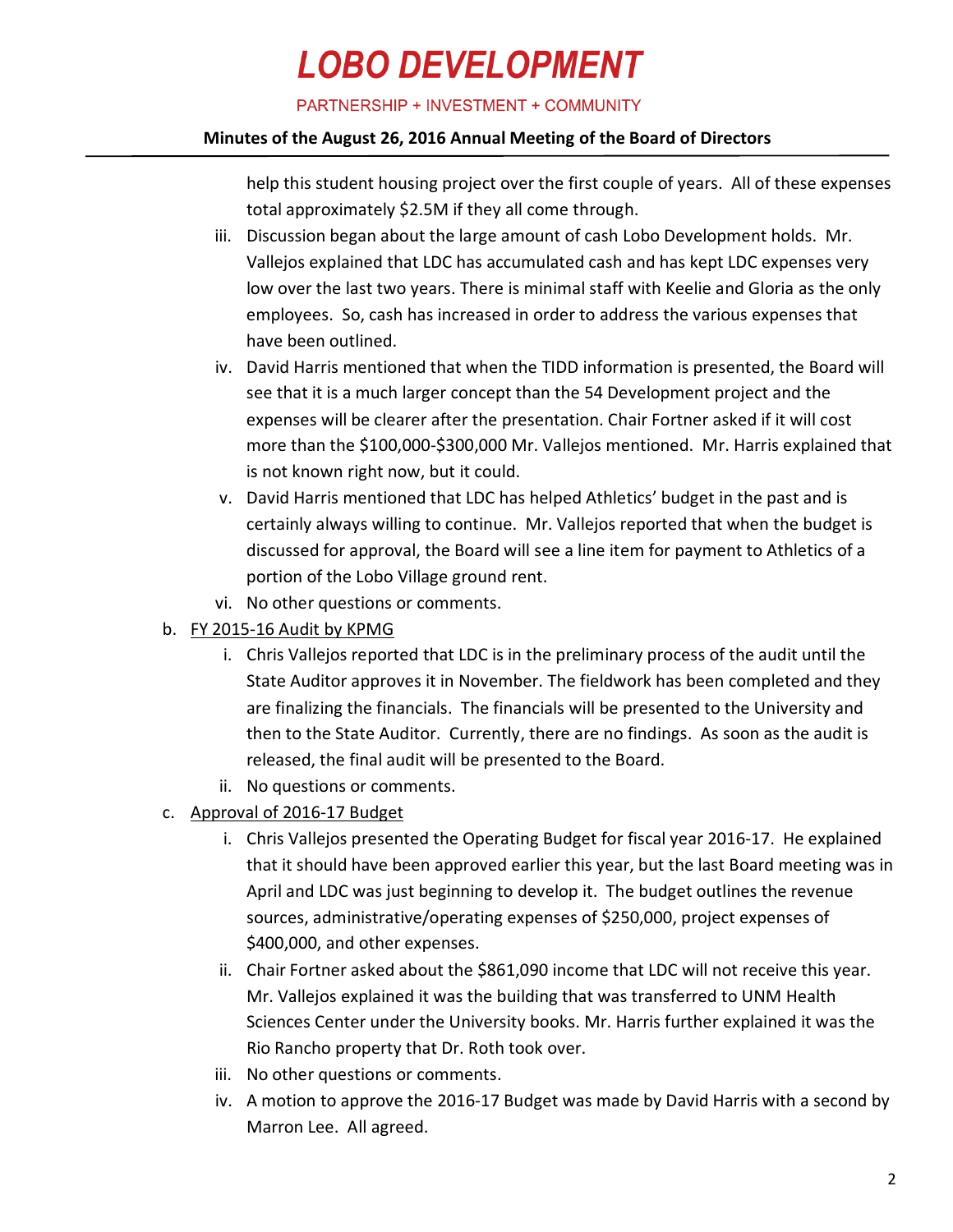PARTNERSHIP + INVESTMENT + COMMUNITY

#### **Minutes of the August 26, 2016 Annual Meeting of the Board of Directors**

help this student housing project over the first couple of years. All of these expenses total approximately \$2.5M if they all come through.

- iii. Discussion began about the large amount of cash Lobo Development holds. Mr. Vallejos explained that LDC has accumulated cash and has kept LDC expenses very low over the last two years. There is minimal staff with Keelie and Gloria as the only employees. So, cash has increased in order to address the various expenses that have been outlined.
- iv. David Harris mentioned that when the TIDD information is presented, the Board will see that it is a much larger concept than the 54 Development project and the expenses will be clearer after the presentation. Chair Fortner asked if it will cost more than the \$100,000-\$300,000 Mr. Vallejos mentioned. Mr. Harris explained that is not known right now, but it could.
- v. David Harris mentioned that LDC has helped Athletics' budget in the past and is certainly always willing to continue. Mr. Vallejos reported that when the budget is discussed for approval, the Board will see a line item for payment to Athletics of a portion of the Lobo Village ground rent.
- vi. No other questions or comments.
- b. FY 2015-16 Audit by KPMG
	- i. Chris Vallejos reported that LDC is in the preliminary process of the audit until the State Auditor approves it in November. The fieldwork has been completed and they are finalizing the financials. The financials will be presented to the University and then to the State Auditor. Currently, there are no findings. As soon as the audit is released, the final audit will be presented to the Board.
	- ii. No questions or comments.
- c. Approval of 2016-17 Budget
	- i. Chris Vallejos presented the Operating Budget for fiscal year 2016-17. He explained that it should have been approved earlier this year, but the last Board meeting was in April and LDC was just beginning to develop it. The budget outlines the revenue sources, administrative/operating expenses of \$250,000, project expenses of \$400,000, and other expenses.
	- ii. Chair Fortner asked about the \$861,090 income that LDC will not receive this year. Mr. Vallejos explained it was the building that was transferred to UNM Health Sciences Center under the University books. Mr. Harris further explained it was the Rio Rancho property that Dr. Roth took over.
	- iii. No other questions or comments.
	- iv. A motion to approve the 2016-17 Budget was made by David Harris with a second by Marron Lee. All agreed.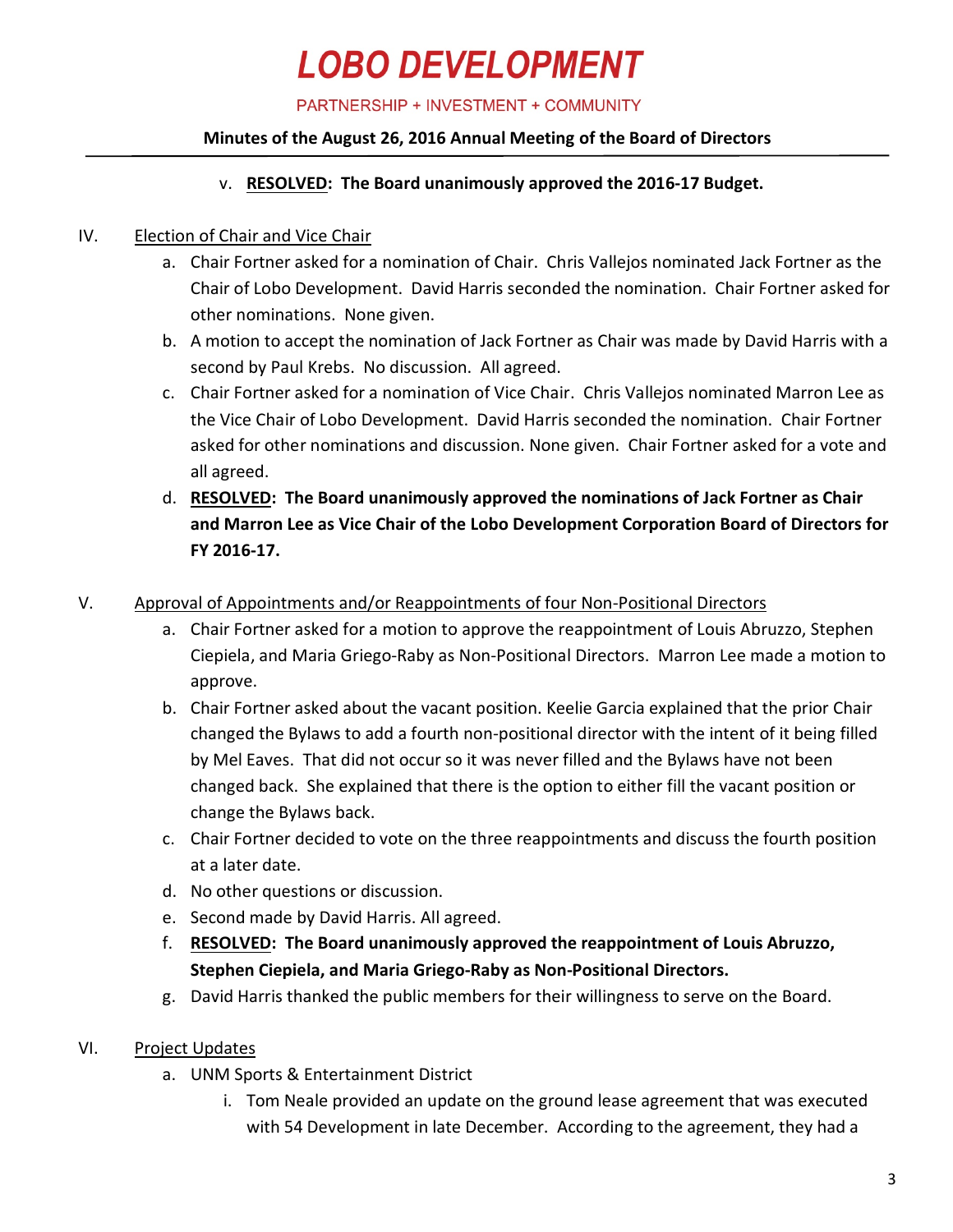PARTNERSHIP + INVESTMENT + COMMUNITY

### **Minutes of the August 26, 2016 Annual Meeting of the Board of Directors**

### v. **RESOLVED: The Board unanimously approved the 2016-17 Budget.**

### IV. Election of Chair and Vice Chair

- a. Chair Fortner asked for a nomination of Chair. Chris Vallejos nominated Jack Fortner as the Chair of Lobo Development. David Harris seconded the nomination. Chair Fortner asked for other nominations. None given.
- b. A motion to accept the nomination of Jack Fortner as Chair was made by David Harris with a second by Paul Krebs. No discussion. All agreed.
- c. Chair Fortner asked for a nomination of Vice Chair. Chris Vallejos nominated Marron Lee as the Vice Chair of Lobo Development. David Harris seconded the nomination. Chair Fortner asked for other nominations and discussion. None given. Chair Fortner asked for a vote and all agreed.
- d. **RESOLVED: The Board unanimously approved the nominations of Jack Fortner as Chair and Marron Lee as Vice Chair of the Lobo Development Corporation Board of Directors for FY 2016-17.**

### V. Approval of Appointments and/or Reappointments of four Non-Positional Directors

- a. Chair Fortner asked for a motion to approve the reappointment of Louis Abruzzo, Stephen Ciepiela, and Maria Griego-Raby as Non-Positional Directors. Marron Lee made a motion to approve.
- b. Chair Fortner asked about the vacant position. Keelie Garcia explained that the prior Chair changed the Bylaws to add a fourth non-positional director with the intent of it being filled by Mel Eaves. That did not occur so it was never filled and the Bylaws have not been changed back. She explained that there is the option to either fill the vacant position or change the Bylaws back.
- c. Chair Fortner decided to vote on the three reappointments and discuss the fourth position at a later date.
- d. No other questions or discussion.
- e. Second made by David Harris. All agreed.
- f. **RESOLVED: The Board unanimously approved the reappointment of Louis Abruzzo, Stephen Ciepiela, and Maria Griego-Raby as Non-Positional Directors.**
- g. David Harris thanked the public members for their willingness to serve on the Board.
- VI. Project Updates
	- a. UNM Sports & Entertainment District
		- i. Tom Neale provided an update on the ground lease agreement that was executed with 54 Development in late December. According to the agreement, they had a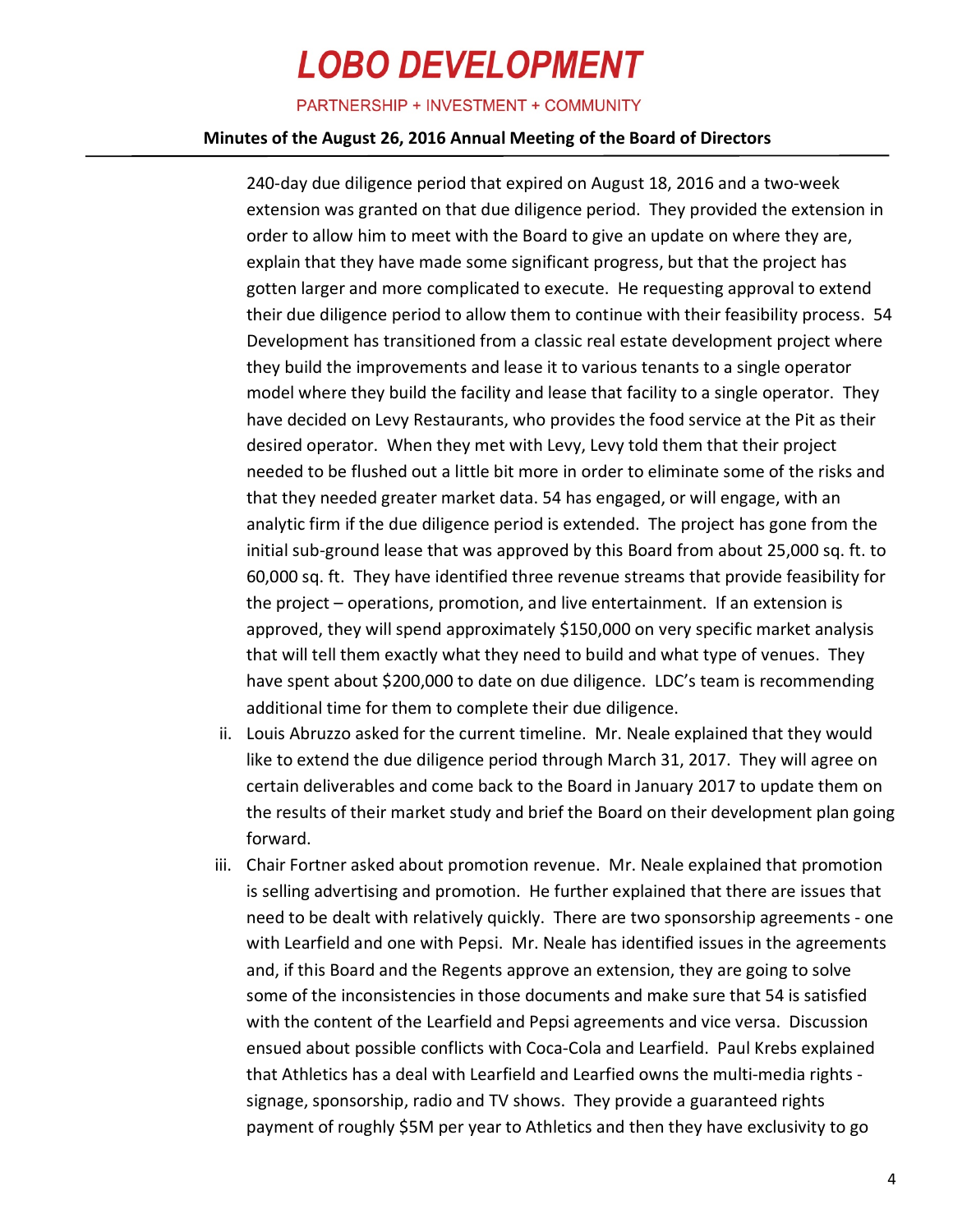PARTNERSHIP + INVESTMENT + COMMUNITY

#### **Minutes of the August 26, 2016 Annual Meeting of the Board of Directors**

240-day due diligence period that expired on August 18, 2016 and a two-week extension was granted on that due diligence period. They provided the extension in order to allow him to meet with the Board to give an update on where they are, explain that they have made some significant progress, but that the project has gotten larger and more complicated to execute. He requesting approval to extend their due diligence period to allow them to continue with their feasibility process. 54 Development has transitioned from a classic real estate development project where they build the improvements and lease it to various tenants to a single operator model where they build the facility and lease that facility to a single operator. They have decided on Levy Restaurants, who provides the food service at the Pit as their desired operator. When they met with Levy, Levy told them that their project needed to be flushed out a little bit more in order to eliminate some of the risks and that they needed greater market data. 54 has engaged, or will engage, with an analytic firm if the due diligence period is extended. The project has gone from the initial sub-ground lease that was approved by this Board from about 25,000 sq. ft. to 60,000 sq. ft. They have identified three revenue streams that provide feasibility for the project – operations, promotion, and live entertainment. If an extension is approved, they will spend approximately \$150,000 on very specific market analysis that will tell them exactly what they need to build and what type of venues. They have spent about \$200,000 to date on due diligence. LDC's team is recommending additional time for them to complete their due diligence.

- ii. Louis Abruzzo asked for the current timeline. Mr. Neale explained that they would like to extend the due diligence period through March 31, 2017. They will agree on certain deliverables and come back to the Board in January 2017 to update them on the results of their market study and brief the Board on their development plan going forward.
- iii. Chair Fortner asked about promotion revenue. Mr. Neale explained that promotion is selling advertising and promotion. He further explained that there are issues that need to be dealt with relatively quickly. There are two sponsorship agreements - one with Learfield and one with Pepsi. Mr. Neale has identified issues in the agreements and, if this Board and the Regents approve an extension, they are going to solve some of the inconsistencies in those documents and make sure that 54 is satisfied with the content of the Learfield and Pepsi agreements and vice versa. Discussion ensued about possible conflicts with Coca-Cola and Learfield. Paul Krebs explained that Athletics has a deal with Learfield and Learfied owns the multi-media rights signage, sponsorship, radio and TV shows. They provide a guaranteed rights payment of roughly \$5M per year to Athletics and then they have exclusivity to go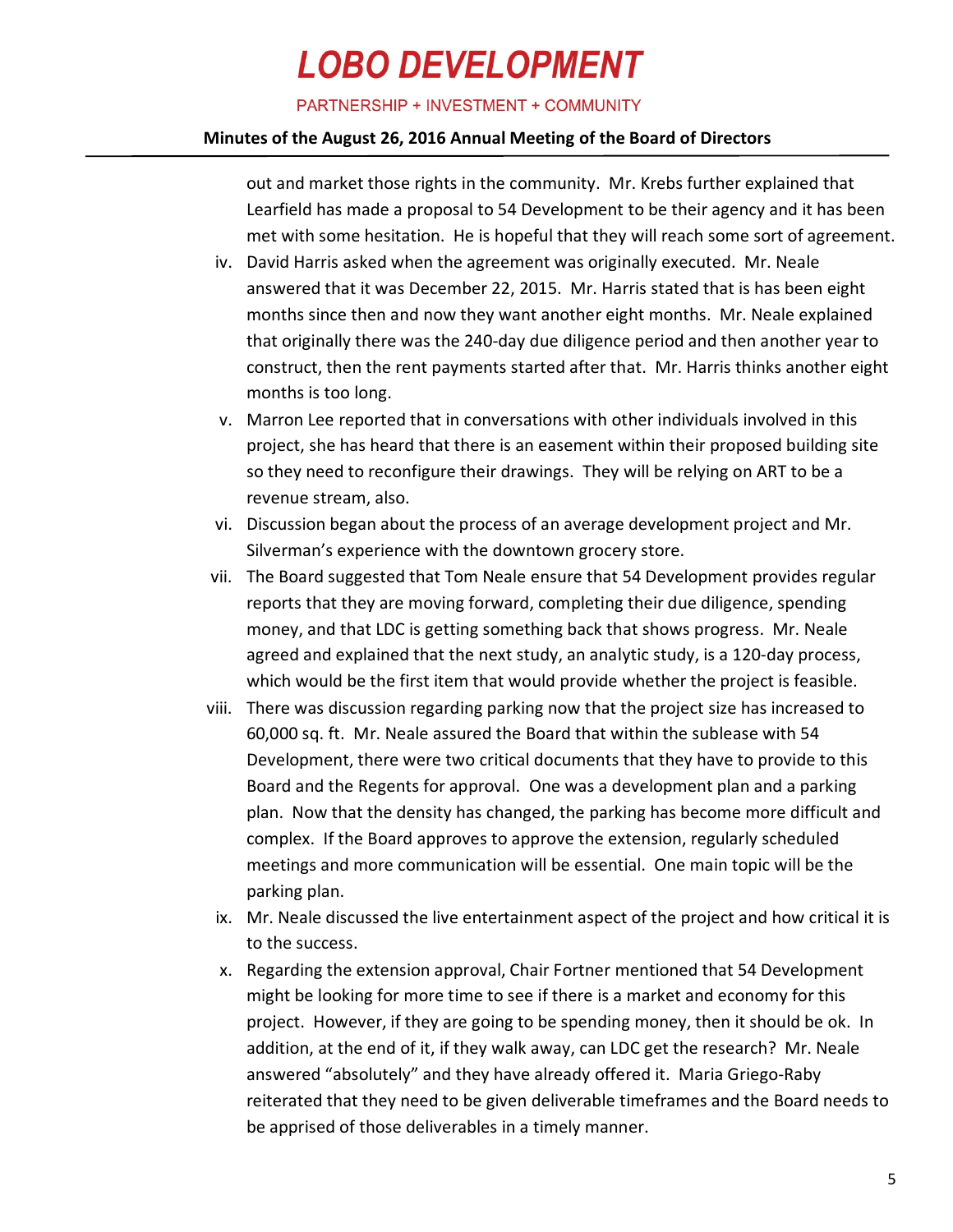PARTNERSHIP + INVESTMENT + COMMUNITY

#### **Minutes of the August 26, 2016 Annual Meeting of the Board of Directors**

out and market those rights in the community. Mr. Krebs further explained that Learfield has made a proposal to 54 Development to be their agency and it has been met with some hesitation. He is hopeful that they will reach some sort of agreement.

- iv. David Harris asked when the agreement was originally executed. Mr. Neale answered that it was December 22, 2015. Mr. Harris stated that is has been eight months since then and now they want another eight months. Mr. Neale explained that originally there was the 240-day due diligence period and then another year to construct, then the rent payments started after that. Mr. Harris thinks another eight months is too long.
- v. Marron Lee reported that in conversations with other individuals involved in this project, she has heard that there is an easement within their proposed building site so they need to reconfigure their drawings. They will be relying on ART to be a revenue stream, also.
- vi. Discussion began about the process of an average development project and Mr. Silverman's experience with the downtown grocery store.
- vii. The Board suggested that Tom Neale ensure that 54 Development provides regular reports that they are moving forward, completing their due diligence, spending money, and that LDC is getting something back that shows progress. Mr. Neale agreed and explained that the next study, an analytic study, is a 120-day process, which would be the first item that would provide whether the project is feasible.
- viii. There was discussion regarding parking now that the project size has increased to 60,000 sq. ft. Mr. Neale assured the Board that within the sublease with 54 Development, there were two critical documents that they have to provide to this Board and the Regents for approval. One was a development plan and a parking plan. Now that the density has changed, the parking has become more difficult and complex. If the Board approves to approve the extension, regularly scheduled meetings and more communication will be essential. One main topic will be the parking plan.
- ix. Mr. Neale discussed the live entertainment aspect of the project and how critical it is to the success.
- x. Regarding the extension approval, Chair Fortner mentioned that 54 Development might be looking for more time to see if there is a market and economy for this project. However, if they are going to be spending money, then it should be ok. In addition, at the end of it, if they walk away, can LDC get the research? Mr. Neale answered "absolutely" and they have already offered it. Maria Griego-Raby reiterated that they need to be given deliverable timeframes and the Board needs to be apprised of those deliverables in a timely manner.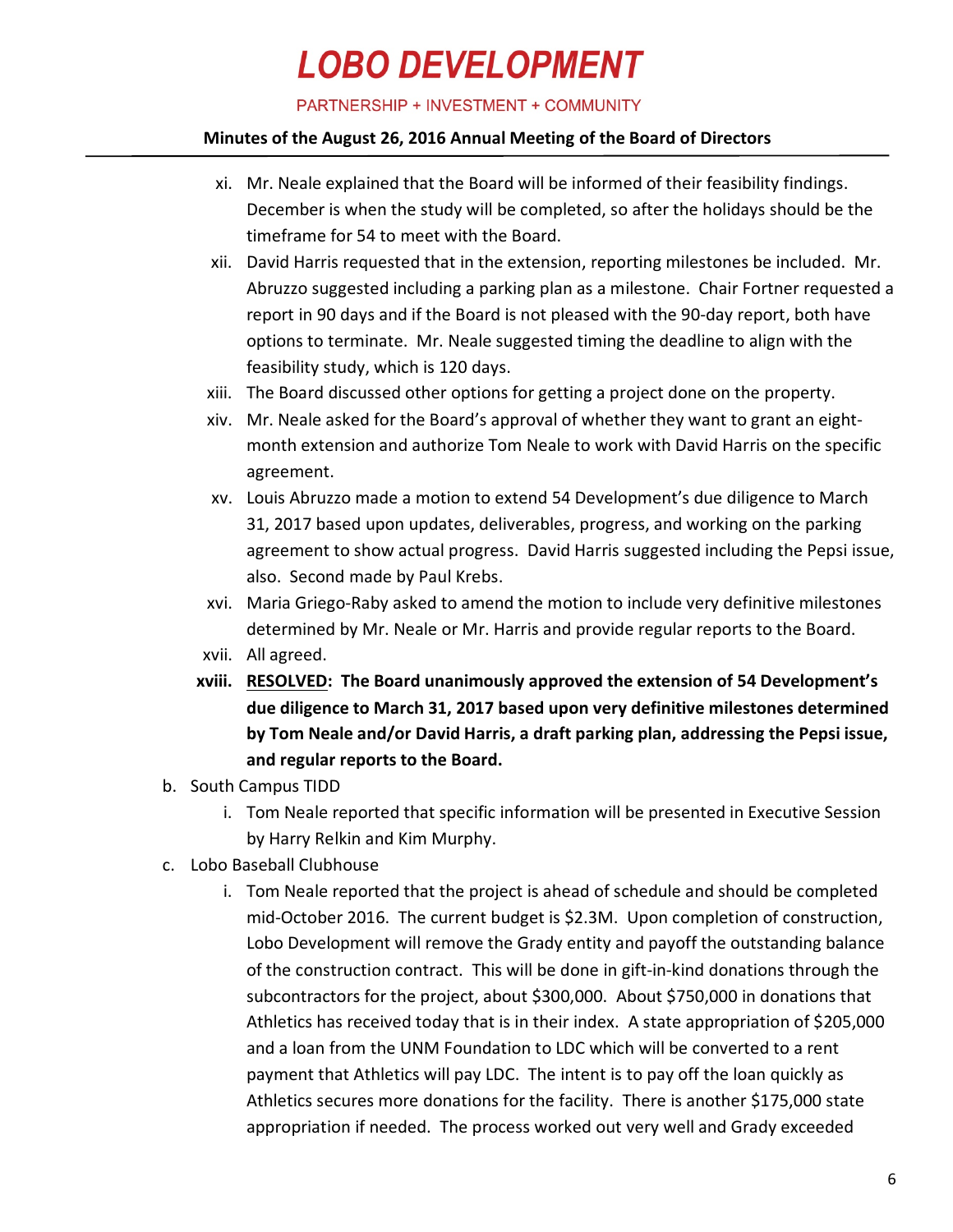PARTNERSHIP + INVESTMENT + COMMUNITY

#### **Minutes of the August 26, 2016 Annual Meeting of the Board of Directors**

- xi. Mr. Neale explained that the Board will be informed of their feasibility findings. December is when the study will be completed, so after the holidays should be the timeframe for 54 to meet with the Board.
- xii. David Harris requested that in the extension, reporting milestones be included. Mr. Abruzzo suggested including a parking plan as a milestone. Chair Fortner requested a report in 90 days and if the Board is not pleased with the 90-day report, both have options to terminate. Mr. Neale suggested timing the deadline to align with the feasibility study, which is 120 days.
- xiii. The Board discussed other options for getting a project done on the property.
- xiv. Mr. Neale asked for the Board's approval of whether they want to grant an eightmonth extension and authorize Tom Neale to work with David Harris on the specific agreement.
- xv. Louis Abruzzo made a motion to extend 54 Development's due diligence to March 31, 2017 based upon updates, deliverables, progress, and working on the parking agreement to show actual progress. David Harris suggested including the Pepsi issue, also. Second made by Paul Krebs.
- xvi. Maria Griego-Raby asked to amend the motion to include very definitive milestones determined by Mr. Neale or Mr. Harris and provide regular reports to the Board.
- xvii. All agreed.
- **xviii. RESOLVED: The Board unanimously approved the extension of 54 Development's due diligence to March 31, 2017 based upon very definitive milestones determined by Tom Neale and/or David Harris, a draft parking plan, addressing the Pepsi issue, and regular reports to the Board.**
- b. South Campus TIDD
	- i. Tom Neale reported that specific information will be presented in Executive Session by Harry Relkin and Kim Murphy.
- c. Lobo Baseball Clubhouse
	- i. Tom Neale reported that the project is ahead of schedule and should be completed mid-October 2016. The current budget is \$2.3M. Upon completion of construction, Lobo Development will remove the Grady entity and payoff the outstanding balance of the construction contract. This will be done in gift-in-kind donations through the subcontractors for the project, about \$300,000. About \$750,000 in donations that Athletics has received today that is in their index. A state appropriation of \$205,000 and a loan from the UNM Foundation to LDC which will be converted to a rent payment that Athletics will pay LDC. The intent is to pay off the loan quickly as Athletics secures more donations for the facility. There is another \$175,000 state appropriation if needed. The process worked out very well and Grady exceeded